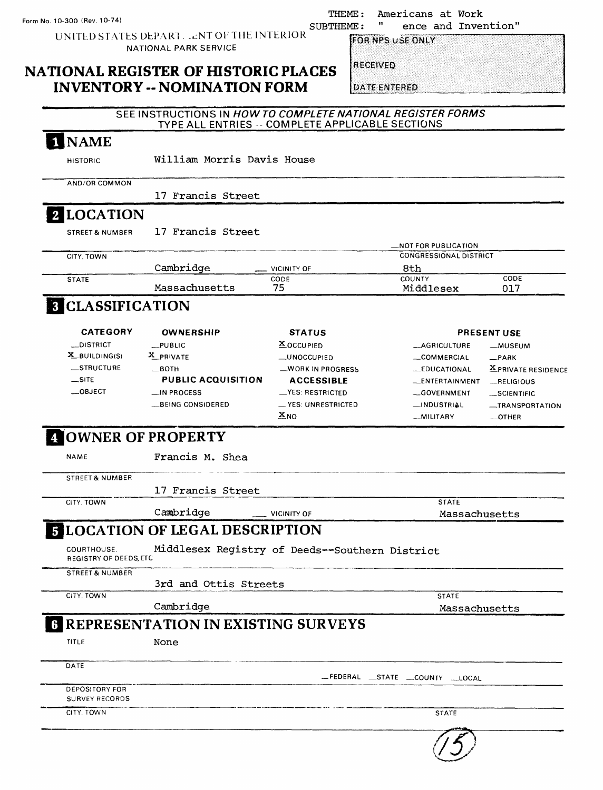THEME: Americans at Work<br>THEME: " ence and Inver ence and Invention"

UNITED STATES DEPART . . . NT OF THE INTERIOR SUBTHEME : NATIONAL PARK SERVICE

**FOR NPS USE ONLY** 

### **NATIONAL REGISTER OF HISTORIC PLACES INVENTORY -- NOMINATION FORM**

|  | <b>RECEIVED</b> |  |  |
|--|-----------------|--|--|
|  |                 |  |  |
|  |                 |  |  |
|  |                 |  |  |
|  |                 |  |  |

**DATE ENTERED** 

|                                       | $-1$                                                        |                                                  |                                |                     |
|---------------------------------------|-------------------------------------------------------------|--------------------------------------------------|--------------------------------|---------------------|
|                                       | SEE INSTRUCTIONS IN HOW TO COMPLETE NATIONAL REGISTER FORMS | TYPE ALL ENTRIES -- COMPLETE APPLICABLE SECTIONS |                                |                     |
| <b>NAME</b>                           |                                                             |                                                  |                                |                     |
| <b>HISTORIC</b>                       | William Morris Davis House                                  |                                                  |                                |                     |
| AND/OR COMMON                         |                                                             |                                                  |                                |                     |
|                                       | 17 Francis Street                                           |                                                  |                                |                     |
| 2 LOCATION                            |                                                             |                                                  |                                |                     |
| <b>STREET &amp; NUMBER</b>            | 17 Francis Street                                           |                                                  |                                |                     |
|                                       |                                                             |                                                  | NOT FOR PUBLICATION            |                     |
| CITY, TOWN                            |                                                             |                                                  | <b>CONGRESSIONAL DISTRICT</b>  |                     |
| <b>STATE</b>                          | Cambridge                                                   | VICINITY OF<br>CODE                              | 8th<br>COUNTY                  | CODE                |
|                                       | Massachusetts                                               | 75                                               | Middlesex                      | 017                 |
| <b>8 CLASSIFICATION</b>               |                                                             |                                                  |                                |                     |
| <b>CATEGORY</b>                       | <b>OWNERSHIP</b>                                            | <b>STATUS</b>                                    |                                | <b>PRESENT USE</b>  |
| __DISTRICT                            | $L$ PUBLIC                                                  | <b>X</b> OCCUPIED                                | <b>_AGRICULTURE</b>            | -MUSEUM             |
| $X$ BUILDING(S)                       | X PRIVATE                                                   | _UNOCCUPIED                                      | _COMMERCIAL                    | $R$ PARK            |
| _STRUCTURE                            | —вотн                                                       | WORK IN PROGRESS                                 | <b>EDUCATIONAL</b>             | X PRIVATE RESIDENCE |
| $\equiv$ SITE                         | <b>PUBLIC ACQUISITION</b>                                   | <b>ACCESSIBLE</b>                                | __ENTERTAINMENT                | $-$ RELIGIOUS       |
| COBJECT                               | _IN PROCESS                                                 | __YES: RESTRICTED                                | -GOVERNMENT                    | -SCIENTIFIC         |
|                                       | BEING CONSIDERED                                            | __ YES: UNRESTRICTED                             | __INDUSTRIAL                   | -TRANSPORTATION     |
|                                       |                                                             | $\mathbf{x}_{\text{NO}}$                         | _MILITARY                      | OTHER               |
| 4 OWNER OF PROPERTY                   |                                                             |                                                  |                                |                     |
| <b>NAME</b>                           | Francis M. Shea                                             |                                                  |                                |                     |
| <b>STREET &amp; NUMBER</b>            |                                                             |                                                  |                                |                     |
|                                       | 17 Francis Street                                           |                                                  |                                |                     |
| CITY, TOWN                            |                                                             |                                                  | <b>STATE</b>                   |                     |
|                                       | Cambridge                                                   | <b>VICINITY OF</b>                               | Massachusetts                  |                     |
|                                       | <b>E LOCATION OF LEGAL DESCRIPTION</b>                      |                                                  |                                |                     |
| COURTHOUSE.<br>REGISTRY OF DEEDS, ETC | Middlesex Registry of Deeds--Southern District              |                                                  |                                |                     |
| <b>STREET &amp; NUMBER</b>            | 3rd and Ottis Streets                                       |                                                  |                                |                     |
| CITY, TOWN                            |                                                             |                                                  | <b>STATE</b>                   |                     |
|                                       | Cambridge                                                   |                                                  | Massachusetts                  |                     |
|                                       | <b>REPRESENTATION IN EXISTING SURVEYS</b>                   |                                                  |                                |                     |
| TITLE                                 | None                                                        |                                                  |                                |                     |
| DATE                                  |                                                             |                                                  |                                |                     |
| <b>DEPOSITORY FOR</b>                 |                                                             |                                                  | FEDERAL _STATE _COUNTY __LOCAL |                     |
| <b>SURVEY RECORDS</b>                 |                                                             |                                                  |                                |                     |
| CITY, TOWN                            |                                                             |                                                  | <b>STATE</b>                   |                     |
|                                       |                                                             |                                                  |                                |                     |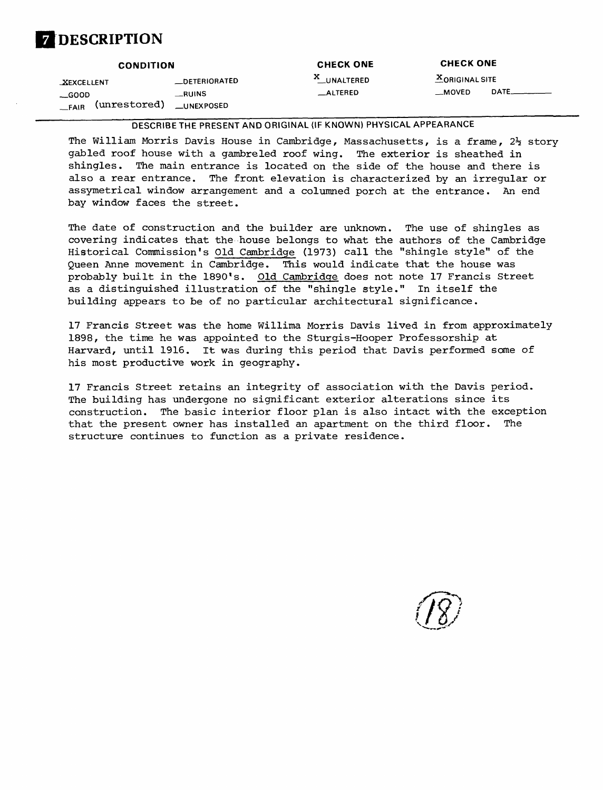# **DESCRIPTION**

|                         | <b>CONDITION</b>  | <b>CHECK ONE</b> | <b>CHECK ONE</b>       |       |
|-------------------------|-------------------|------------------|------------------------|-------|
| <b>XEXCELLENT</b>       | _DETERIORATED     | X_UNALTERED      | <b>X</b> ORIGINAL SITE |       |
| $\sub{600D}$            | RUNS              | $\equiv$ ALTERED | $-MOVED$               | DATE_ |
| (unrestored)<br>$-FAIR$ | <b>LUNEXPOSED</b> |                  |                        |       |

**DESCRIBE THE PRESENT AND ORIGINAL (IF KNOWN) PHYSICAL APPEARANCE**

The William Morris Davis House in Cambridge, Massachusetts, is a frame,  $2\frac{1}{2}$  story gabled roof house with a gambreled roof wing. The exterior is sheathed in shingles. The main entrance is located on the side of the house and there is also a rear entrance. The front elevation is characterized by an irregular or assymetrical window arrangement and a columned porch at the entrance. An end bay window faces the street.

The date of construction and the builder are unknown. The use of shingles as covering indicates that the house belongs to what the authors of the Cambridge Historical Commission's Old Cambridge (1973) call the "shingle style" of the Queen Anne movement in Cambridge. This would indicate that the house was probably built in the 1890's. Old Cambridge does not note 17 Francis Street as a distinguished illustration of the "shingle style." In itself the building appears to be of no particular architectural significance.

17 Francis Street was the home Willima Morris Davis lived in from approximately 1898, the time he was appointed to the Sturgis-Hooper Professorship at Harvard, until 1916. It was during this period that Davis performed some of his most productive work in geography.

17 Francis Street retains an integrity of association with the Davis period. The building has undergone no significant exterior alterations since its construction. The basic interior floor plan is also intact with the exception that the present owner has installed an apartment on the third floor. The structure continues to function as a private residence.

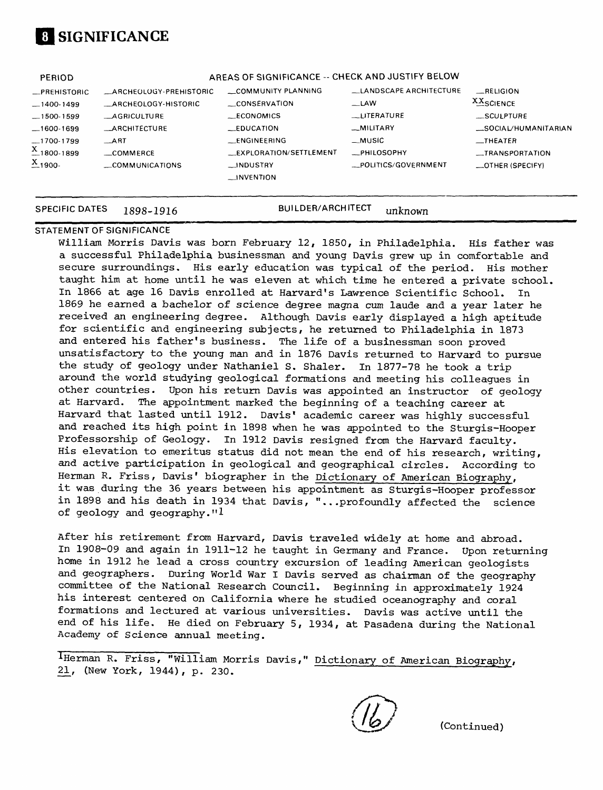# **01 SIGNIFICANCE**

| <b>PERIOD</b>              | AREAS OF SIGNIFICANCE -- CHECK AND JUSTIFY BELOW |                                |                          |                                  |
|----------------------------|--------------------------------------------------|--------------------------------|--------------------------|----------------------------------|
| _PREHISTORIC               | <b>ARCHEOLOGY-PREHISTORIC</b>                    | COMMUNITY PLANNING             | - LANDSCAPE ARCHITECTURE | RELIGION                         |
| $-1400-1499$               | _ARCHEOLOGY-HISTORIC                             | CONSERVATION                   | $-LAW$                   | <b>XX</b> SCIENCE                |
| $-1500-1599$               | <b>AGRICULTURE</b>                               | ECONOMICS                      | <b>LITERATURE</b>        | __SCULPTURE                      |
| $-1600-1699$               | <b>_ARCHITECTURE</b>                             | $LEDUCA$ $T10N$                | -MILITARY                | __SOCIAL/HUMANITARIAN            |
| 1700-1799                  | ART                                              | <b>LENGINEERING</b>            | $-MUSIC$                 | $\overline{\phantom{0}}$ THEATER |
| $X_{-1800-1899}$           | $\equiv$ COMMERCE                                | <b>LEXPLORATION/SETTLEMENT</b> | <b>EPHILOSOPHY</b>       | -TRANSPORTATION                  |
| $\frac{\text{X}}{2}$ 1900- | COMMUNICATIONS                                   | __INDUSTRY                     | -POLITICS/GOVERNMENT     | OTHER (SPECIFY)                  |
|                            |                                                  | $\Box$ INVENTION               |                          |                                  |
|                            |                                                  |                                |                          |                                  |

#### **SPECIFIC DATES 1898-1916 BUILDER/ARCHITECT unknown**

#### **STATEMENT OF SIGNIFICANCE**

William Morris Davis was born February 12, 1850, in Philadelphia. His father was a successful Philadelphia businessman and young Davis grew up in comfortable and secure surroundings. His early education was typical of the period. His mother taught him at home until he was eleven at which time he entered a private school. In 1866 at age 16 Davis enrolled at Harvard's Lawrence Scientific School. In 1869 he earned a bachelor of science degree magna cum laude and a year later he received an engineering degree. Although Davis early displayed a high aptitude for scientific and engineering subjects, he returned to Philadelphia in 1873 and entered his father's business. The life of a businessman soon proved unsatisfactory to the young man and in 1876 Davis returned to Harvard to pursue the study of geology under Nathaniel S. Shaler. In 1877-78 he took a trip around the world studying geological formations and meeting his colleagues in other countries. Upon his return Davis was appointed an instructor of geology at Harvard. The appointment marked the beginning of a teaching career at Harvard that lasted until 1912. Davis' academic career was highly successful and reached its high point in 1898 when he was appointed to the Sturgis-Hooper Professorship of Geology. In 1912 Davis resigned from the Harvard faculty. His elevation to emeritus status did not mean the end of his research, writing, and active participation in geological and geographical circles. According to Herman R. Friss, Davis' biographer in the Dictionary of American Biography, it was during the 36 years between his appointment as Sturgis-Hooper professor in 1898 and his death in 1934 that Davis, "...profoundly affected the science of geology and geography." $1$ 

After his retirement from Harvard, Davis traveled widely at home and abroad. In 1908-09 and again in 1911-12 he taught in Germany and France. Upon returning home in 1912 he lead a cross country excursion of leading American geologists and geographers. During World War I Davis served as chairman of the geography committee of the National Research Council. Beginning in approximately 1924 his interest centered on California where he studied oceanography and coral formations and lectured at various universities. Davis was active until the end of his life. He died on February 5, 1934, at Pasadena during the National Academy of Science annual meeting.

^Herman R. Friss, "William Morris Davis," Dictionary of American Biography, 21, (New York, 1944), p. 230.

(Continued)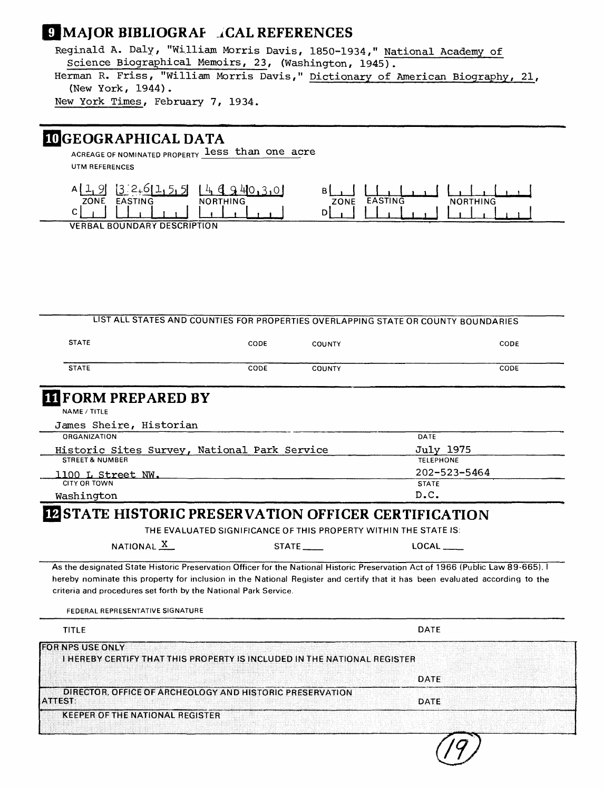## **9 MAJOR BIBLIOGRAF** *i***CAL REFERENCES**

Reginald A. Daly, "William Morris Davis, 1850-1934," National Academy of Science Biographical Memoirs, 23, (Washington, 1945).

Herman R. Friss, "William Morris Davis," Dictionary of American Biography, 21, (New York, 1944).

New York Times, February 7, 1934.

## INGEOGRAPHICAL DATA

ACREAGE OF NOMINATED PROPERTY **less than one acre** UTM REFERENCES



**VERBAL BOUNDARY DESCRIPTION** 

|                                                                                                                              |      |               | LIST ALL STATES AND COUNTIES FOR PROPERTIES OVERLAPPING STATE OR COUNTY BOUNDARIES                                                                                                                                                                                       |
|------------------------------------------------------------------------------------------------------------------------------|------|---------------|--------------------------------------------------------------------------------------------------------------------------------------------------------------------------------------------------------------------------------------------------------------------------|
| <b>STATE</b>                                                                                                                 | CODE | <b>COUNTY</b> | CODE                                                                                                                                                                                                                                                                     |
| <b>STATE</b>                                                                                                                 | CODE | <b>COUNTY</b> | CODE                                                                                                                                                                                                                                                                     |
| <b>III FORM PREPARED BY</b>                                                                                                  |      |               |                                                                                                                                                                                                                                                                          |
| NAME / TITLE                                                                                                                 |      |               |                                                                                                                                                                                                                                                                          |
| James Sheire, Historian                                                                                                      |      |               |                                                                                                                                                                                                                                                                          |
| ORGANIZATION                                                                                                                 |      |               | DATE                                                                                                                                                                                                                                                                     |
| Historic Sites Survey, National Park Service                                                                                 |      |               | <b>July 1975</b>                                                                                                                                                                                                                                                         |
| <b>STREET &amp; NUMBER</b>                                                                                                   |      |               | <b>TELEPHONE</b>                                                                                                                                                                                                                                                         |
| 1100 L Street NW.                                                                                                            |      |               | 202-523-5464                                                                                                                                                                                                                                                             |
| <b>CITY OR TOWN</b>                                                                                                          |      |               | <b>STATE</b>                                                                                                                                                                                                                                                             |
| Washington                                                                                                                   |      |               | D.C.                                                                                                                                                                                                                                                                     |
| NATIONAL <sub>X</sub><br>criteria and procedures set forth by the National Park Service.<br>FEDERAL REPRESENTATIVE SIGNATURE |      | STATE         | LOCAL<br>As the designated State Historic Preservation Officer for the National Historic Preservation Act of 1966 (Public Law 89-665), I<br>hereby nominate this property for inclusion in the National Register and certify that it has been evaluated according to the |
| <b>TITLE</b>                                                                                                                 |      |               | DATE                                                                                                                                                                                                                                                                     |
| <b>FOR NPS USE ONLY</b><br>I HEREBY CERTIFY THAT THIS PROPERTY IS INCLUDED IN THE NATIONAL REGISTER                          |      |               |                                                                                                                                                                                                                                                                          |
|                                                                                                                              |      |               | DATE                                                                                                                                                                                                                                                                     |
| DIRECTOR, OFFICE OF ARCHEOLOGY AND HISTORIC PRESERVATION<br><b>ATTEST:</b>                                                   |      |               | <b>DATE</b>                                                                                                                                                                                                                                                              |
| <b>KEEPER OF THE NATIONAL REGISTER</b>                                                                                       |      |               |                                                                                                                                                                                                                                                                          |
|                                                                                                                              |      |               |                                                                                                                                                                                                                                                                          |